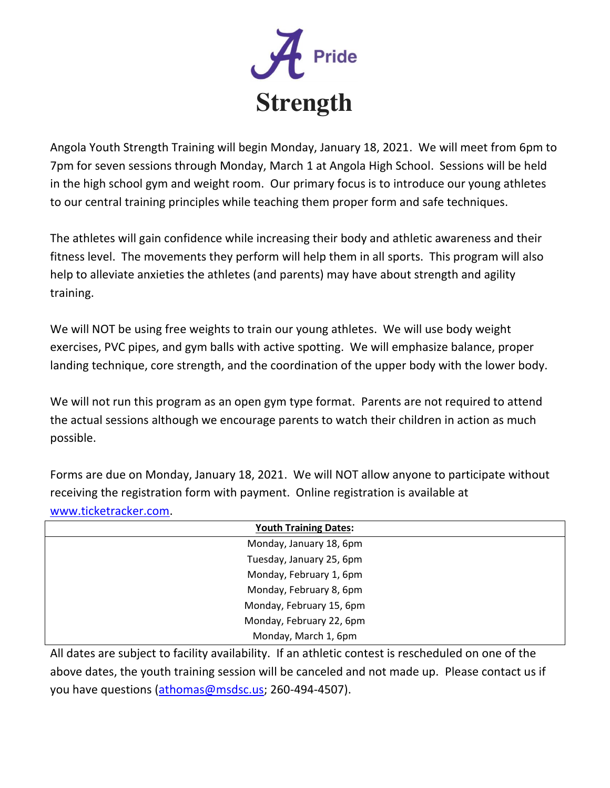

Angola Youth Strength Training will begin Monday, January 18, 2021. We will meet from 6pm to 7pm for seven sessions through Monday, March 1 at Angola High School. Sessions will be held in the high school gym and weight room. Our primary focus is to introduce our young athletes to our central training principles while teaching them proper form and safe techniques.

The athletes will gain confidence while increasing their body and athletic awareness and their fitness level. The movements they perform will help them in all sports. This program will also help to alleviate anxieties the athletes (and parents) may have about strength and agility training.

We will NOT be using free weights to train our young athletes. We will use body weight exercises, PVC pipes, and gym balls with active spotting. We will emphasize balance, proper landing technique, core strength, and the coordination of the upper body with the lower body.

We will not run this program as an open gym type format. Parents are not required to attend the actual sessions although we encourage parents to watch their children in action as much possible.

Forms are due on Monday, January 18, 2021. We will NOT allow anyone to participate without receiving the registration form with payment. Online registration is available at www.ticketracker.com.

| <b>Youth Training Dates:</b> |
|------------------------------|
| Monday, January 18, 6pm      |
| Tuesday, January 25, 6pm     |
| Monday, February 1, 6pm      |
| Monday, February 8, 6pm      |
| Monday, February 15, 6pm     |
| Monday, February 22, 6pm     |
| Monday, March 1, 6pm         |

All dates are subject to facility availability. If an athletic contest is rescheduled on one of the above dates, the youth training session will be canceled and not made up. Please contact us if you have questions (athomas@msdsc.us; 260-494-4507).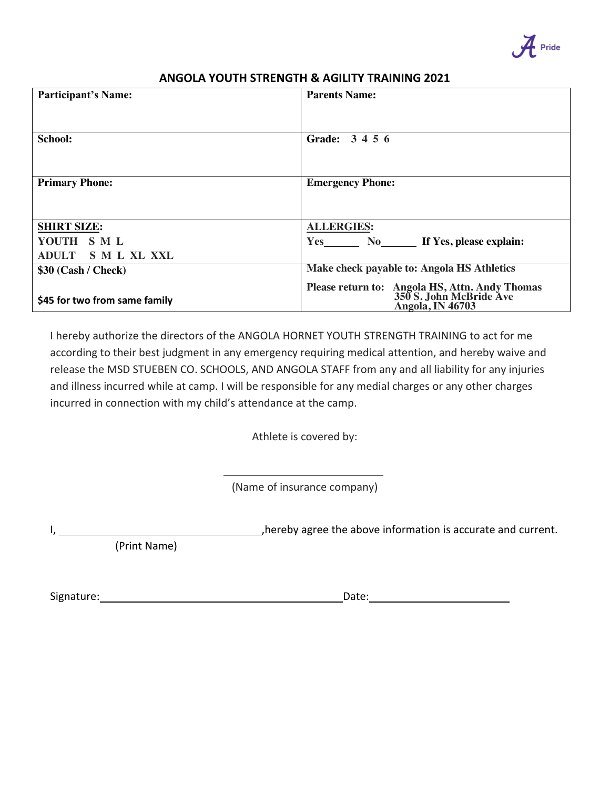

## **ANGOLA YOUTH STRENGTH & AGILITY TRAINING 2021**

| <b>Parents Name:</b>                                                      |
|---------------------------------------------------------------------------|
|                                                                           |
| Grade: 3 4 5 6                                                            |
|                                                                           |
|                                                                           |
| <b>Emergency Phone:</b>                                                   |
|                                                                           |
|                                                                           |
| <b>ALLERGIES:</b>                                                         |
| Yes No If Yes, please explain:                                            |
|                                                                           |
| Make check payable to: Angola HS Athletics                                |
| Please return to: Angola HS, Attn. Andy Thomas<br>350 S. John McBride Ave |
| <b>Angola, IN 46703</b>                                                   |
|                                                                           |

I hereby authorize the directors of the ANGOLA HORNET YOUTH STRENGTH TRAINING to act for me according to their best judgment in any emergency requiring medical attention, and hereby waive and release the MSD STUEBEN CO. SCHOOLS, AND ANGOLA STAFF from any and all liability for any injuries and illness incurred while at camp. I will be responsible for any medial charges or any other charges incurred in connection with my child's attendance at the camp.

Athlete is covered by:

 . (Name of insurance company)

I, ,hereby agree the above information is accurate and current.

(Print Name)

Signature: Date: .